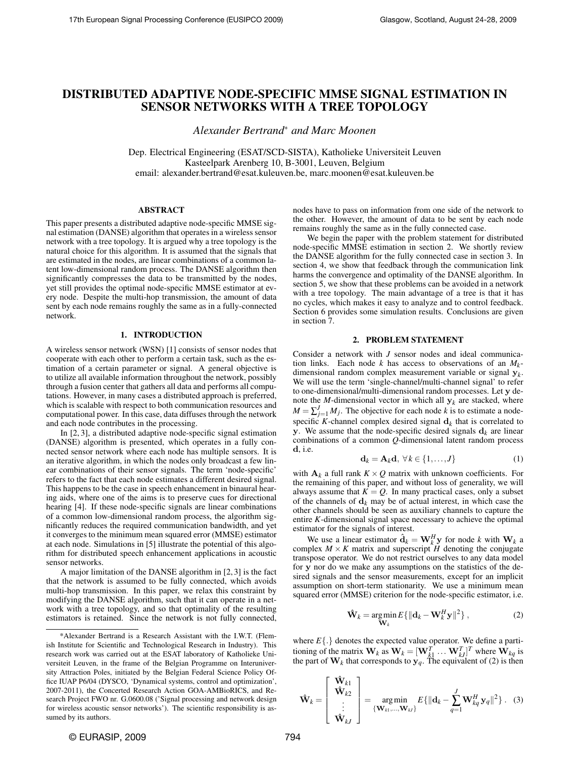## DISTRIBUTED ADAPTIVE NODE-SPECIFIC MMSE SIGNAL ESTIMATION IN SENSOR NETWORKS WITH A TREE TOPOLOGY

*Alexander Bertrand*<sup>∗</sup> *and Marc Moonen*

Dep. Electrical Engineering (ESAT/SCD-SISTA), Katholieke Universiteit Leuven Kasteelpark Arenberg 10, B-3001, Leuven, Belgium email: alexander.bertrand@esat.kuleuven.be, marc.moonen@esat.kuleuven.be

## ABSTRACT

This paper presents a distributed adaptive node-specific MMSE signal estimation (DANSE) algorithm that operates in a wireless sensor network with a tree topology. It is argued why a tree topology is the natural choice for this algorithm. It is assumed that the signals that are estimated in the nodes, are linear combinations of a common latent low-dimensional random process. The DANSE algorithm then significantly compresses the data to be transmitted by the nodes, yet still provides the optimal node-specific MMSE estimator at every node. Despite the multi-hop transmission, the amount of data sent by each node remains roughly the same as in a fully-connected network.

## 1. INTRODUCTION

A wireless sensor network (WSN) [1] consists of sensor nodes that cooperate with each other to perform a certain task, such as the estimation of a certain parameter or signal. A general objective is to utilize all available information throughout the network, possibly through a fusion center that gathers all data and performs all computations. However, in many cases a distributed approach is preferred, which is scalable with respect to both communication resources and computational power. In this case, data diffuses through the network and each node contributes in the processing.

In [2, 3], a distributed adaptive node-specific signal estimation (DANSE) algorithm is presented, which operates in a fully connected sensor network where each node has multiple sensors. It is an iterative algorithm, in which the nodes only broadcast a few linear combinations of their sensor signals. The term 'node-specific' refers to the fact that each node estimates a different desired signal. This happens to be the case in speech enhancement in binaural hearing aids, where one of the aims is to preserve cues for directional hearing [4]. If these node-specific signals are linear combinations of a common low-dimensional random process, the algorithm significantly reduces the required communication bandwidth, and yet it converges to the minimum mean squared error (MMSE) estimator at each node. Simulations in [5] illustrate the potential of this algorithm for distributed speech enhancement applications in acoustic sensor networks.

A major limitation of the DANSE algorithm in [2, 3] is the fact that the network is assumed to be fully connected, which avoids multi-hop transmission. In this paper, we relax this constraint by modifying the DANSE algorithm, such that it can operate in a network with a tree topology, and so that optimality of the resulting estimators is retained. Since the network is not fully connected, nodes have to pass on information from one side of the network to the other. However, the amount of data to be sent by each node remains roughly the same as in the fully connected case.

We begin the paper with the problem statement for distributed node-specific MMSE estimation in section 2. We shortly review the DANSE algorithm for the fully connected case in section 3. In section 4, we show that feedback through the communication link harms the convergence and optimality of the DANSE algorithm. In section 5, we show that these problems can be avoided in a network with a tree topology. The main advantage of a tree is that it has no cycles, which makes it easy to analyze and to control feedback. Section 6 provides some simulation results. Conclusions are given in section 7.

#### 2. PROBLEM STATEMENT

Consider a network with *J* sensor nodes and ideal communication links. Each node *k* has access to observations of an  $M_k$ dimensional random complex measurement variable or signal y*<sup>k</sup>* . We will use the term 'single-channel/multi-channel signal' to refer to one-dimensional/multi-dimensional random processes. Let y denote the *M*-dimensional vector in which all  $y_k$  are stacked, where  $M = \sum_{j=1}^{J} M_j$ . The objective for each node *k* is to estimate a nodespecific *K*-channel complex desired signal  $\mathbf{d}_k$  that is correlated to y. We assume that the node-specific desired signals  $\mathbf{d}_k$  are linear combinations of a common *Q*-dimensional latent random process d, i.e.

$$
\mathbf{d}_k = \mathbf{A}_k \mathbf{d}, \ \forall k \in \{1, \dots, J\}
$$
 (1)

with  $A_k$  a full rank  $K \times Q$  matrix with unknown coefficients. For the remaining of this paper, and without loss of generality, we will always assume that  $K = Q$ . In many practical cases, only a subset of the channels of  $\mathbf{d}_k$  may be of actual interest, in which case the other channels should be seen as auxiliary channels to capture the entire *K*-dimensional signal space necessary to achieve the optimal estimator for the signals of interest.

We use a linear estimator  $\hat{\mathbf{d}}_k = \mathbf{W}_k^H \mathbf{y}$  for node *k* with  $\mathbf{W}_k$  a complex  $M \times K$  matrix and superscript *H* denoting the conjugate transpose operator. We do not restrict ourselves to any data model for y nor do we make any assumptions on the statistics of the desired signals and the sensor measurements, except for an implicit assumption on short-term stationarity. We use a minimum mean squared error (MMSE) criterion for the node-specific estimator, i.e.

$$
\hat{\mathbf{W}}_k = \underset{\mathbf{W}_k}{\text{argmin}} E\{\|\mathbf{d}_k - \mathbf{W}_k^H \mathbf{y}\|^2\},\tag{2}
$$

where  $E\{\cdot\}$  denotes the expected value operator. We define a partitioning of the matrix  $\mathbf{W}_k$  as  $\mathbf{W}_k = [\mathbf{W}_{k1}^T \dots \mathbf{W}_{kJ}^T]^T$  where  $\mathbf{W}_{kq}$  is the part of  $W_k$  that corresponds to  $y_q$ . The equivalent of (2) is then

$$
\hat{\mathbf{W}}_k = \begin{bmatrix} \hat{\mathbf{W}}_{k1} \\ \hat{\mathbf{W}}_{k2} \\ \vdots \\ \hat{\mathbf{W}}_{kJ} \end{bmatrix} = \operatorname*{arg\,min}_{\{\mathbf{W}_{k1},\dots,\mathbf{W}_{kJ}\}} E\{\|\mathbf{d}_k - \sum_{q=1}^J \mathbf{W}_{kq}^H \mathbf{y}_q\|^2\}.
$$
 (3)

<sup>\*</sup>Alexander Bertrand is a Research Assistant with the I.W.T. (Flemish Institute for Scientific and Technological Research in Industry). This research work was carried out at the ESAT laboratory of Katholieke Universiteit Leuven, in the frame of the Belgian Programme on Interuniversity Attraction Poles, initiated by the Belgian Federal Science Policy Office IUAP P6/04 (DYSCO, 'Dynamical systems, control and optimization', 2007-2011), the Concerted Research Action GOA-AMBioRICS, and Research Project FWO nr. G.0600.08 ('Signal processing and network design for wireless acoustic sensor networks'). The scientific responsibility is assumed by its authors.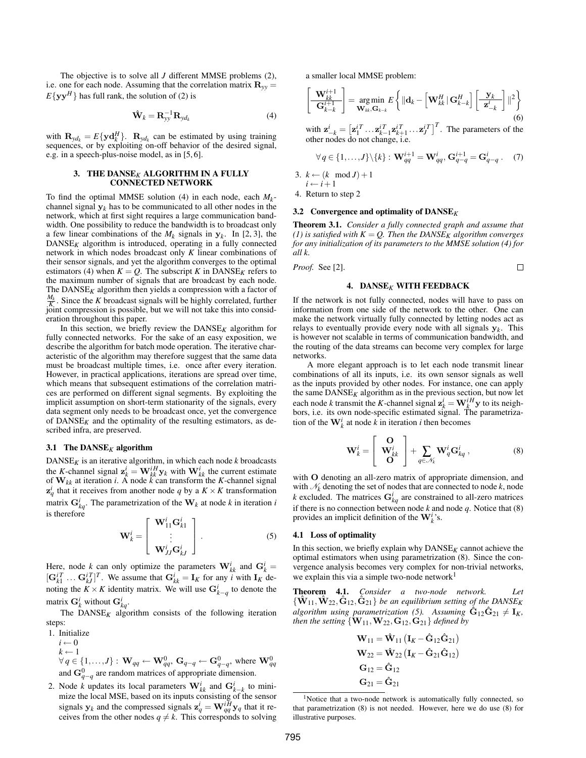The objective is to solve all *J* different MMSE problems (2), i.e. one for each node. Assuming that the correlation matrix  $\mathbf{R}_{yy}$  =  $E\{yy^H\}$  has full rank, the solution of (2) is

$$
\hat{\mathbf{W}}_k = \mathbf{R}_{yy}^{-1} \mathbf{R}_{yd_k} \tag{4}
$$

with  $\mathbf{R}_{y d_k} = E\{\mathbf{y} \mathbf{d}_k^H\}$ .  $\mathbf{R}_{y d_k}$  can be estimated by using training sequences, or by exploiting on-off behavior of the desired signal, e.g. in a speech-plus-noise model, as in [5, 6].

## 3. THE DANSE*K* ALGORITHM IN A FULLY CONNECTED NETWORK

To find the optimal MMSE solution (4) in each node, each *M<sup>k</sup>* channel signal  $y_k$  has to be communicated to all other nodes in the network, which at first sight requires a large communication bandwidth. One possibility to reduce the bandwidth is to broadcast only a few linear combinations of the  $M_k$  signals in  $y_k$ . In [2, 3], the  $DANSE<sub>K</sub>$  algorithm is introduced, operating in a fully connected network in which nodes broadcast only *K* linear combinations of their sensor signals, and yet the algorithm converges to the optimal estimators (4) when  $K = Q$ . The subscript K in DANSE<sub>K</sub> refers to the maximum number of signals that are broadcast by each node. The DANSE*K* algorithm then yields a compression with a factor of  $\frac{M_k}{K}$ . Since the *K* broadcast signals will be highly correlated, further joint compression is possible, but we will not take this into consideration throughout this paper.

In this section, we briefly review the  $DANSE<sub>K</sub>$  algorithm for fully connected networks. For the sake of an easy exposition, we describe the algorithm for batch mode operation. The iterative characteristic of the algorithm may therefore suggest that the same data must be broadcast multiple times, i.e. once after every iteration. However, in practical applications, iterations are spread over time, which means that subsequent estimations of the correlation matrices are performed on different signal segments. By exploiting the implicit assumption on short-term stationarity of the signals, every data segment only needs to be broadcast once, yet the convergence of  $DANSE<sub>K</sub>$  and the optimality of the resulting estimators, as described infra, are preserved.

#### 3.1 The DANSE*K* algorithm

DANSE*K* is an iterative algorithm, in which each node *k* broadcasts the *K*-channel signal  $\mathbf{z}_k^i = \mathbf{W}_{kk}^{iH} \mathbf{y}_k$  with  $\mathbf{W}_{kk}^i$  the current estimate of  $W_{kk}$  at iteration *i*. A node  $\ddot{k}$  can transform the *K*-channel signal  $z_q^i$  that it receives from another node *q* by a  $K \times K$  transformation matrix  $\mathbf{G}_{kq}^{i}$ . The parametrization of the  $\mathbf{W}_{k}$  at node *k* in iteration *i* is therefore

$$
\mathbf{W}_{k}^{i} = \begin{bmatrix} \mathbf{W}_{11}^{i} \mathbf{G}_{k1}^{i} \\ \vdots \\ \mathbf{W}_{JJ}^{i} \mathbf{G}_{kj}^{i} \end{bmatrix} .
$$
 (5)

Here, node *k* can only optimize the parameters  $W_{kk}^{i}$  and  $G_{k}^{i} =$  $[\mathbf{G}_{k1}^{iT} \dots \mathbf{G}_{kJ}^{iT}]^T$ . We assume that  $\mathbf{G}_{kk}^i = \mathbf{I}_K$  for any *i* with  $\mathbf{I}_K$  denoting the *K* × *K* identity matrix. We will use  $G_{k-q}^i$  to denote the matrix  $G_k^i$  without  $G_{kq}^i$ .

The  $DANSE_K$  algorithm consists of the following iteration steps:

- 1. Initialize  $i \leftarrow 0$  $k \leftarrow 1$  $∀ q ∈ {1, ..., J} : **W**<sub>qq</sub> ← **W**<sub>qq</sub><sup>0</sup>, **G**<sub>q-q</sub> ← **G**<sub>q-q</sub><sup>0</sup>, where **W**<sub>qq</sub><sup>0</sup> and **G**<sub>q-q</sub><sup>0</sup> are random matrices of appropriate dimension.$
- 2. Node *k* updates its local parameters  $\mathbf{W}_{kk}^{i}$  and  $\mathbf{G}_{k-k}^{i}$  to minimize the local MSE, based on its inputs consisting of the sensor signals  $y_k$  and the compressed signals  $z_q^i = \mathbf{W}_{qq}^{iH} y_q$  that it receives from the other nodes  $q \neq k$ . This corresponds to solving

a smaller local MMSE problem:

$$
\left[\frac{\mathbf{W}_{kk}^{i+1}}{\mathbf{G}_{k-k}^{i+1}}\right] = \underset{\mathbf{W}_{kk},\mathbf{G}_{k-k}}{\arg\min} E\left\{ \|\mathbf{d}_k - \left[\mathbf{W}_{kk}^H \,|\, \mathbf{G}_{k-k}^H\right] \left[\frac{\mathbf{y}_k}{\mathbf{z}_{-k}^i}\right] \,|\,^{2} \right\} \tag{6}
$$

with  $\mathbf{z}_{-k}^i = \left[\mathbf{z}_1^{i} \cdots \mathbf{z}_{k-1}^{i} \mathbf{z}_{k+1}^{i} \cdots \mathbf{z}_J^{i} \right]^T$ . The parameters of the other nodes do not change, i.e.

$$
\forall q \in \{1,\ldots,J\} \setminus \{k\} : \mathbf{W}_{qq}^{i+1} = \mathbf{W}_{qq}^{i}, \mathbf{G}_{q-q}^{i+1} = \mathbf{G}_{q-q}^{i} . \tag{7}
$$

3.  $k \leftarrow (k \mod J) + 1$  $i \leftarrow i+1$ 

4. Return to step 2

#### 3.2 Convergence and optimality of DANSE*K*

Theorem 3.1. *Consider a fully connected graph and assume that*  $(1)$  is satisfied with  $K = Q$ . Then the DANSE<sub>K</sub> algorithm converges *for any initialization of its parameters to the MMSE solution (4) for all k.*

*Proof.* See [2].

# $\Box$

## 4. DANSE*K* WITH FEEDBACK

If the network is not fully connected, nodes will have to pass on information from one side of the network to the other. One can make the network virtually fully connected by letting nodes act as relays to eventually provide every node with all signals y*<sup>k</sup>* . This is however not scalable in terms of communication bandwidth, and the routing of the data streams can become very complex for large networks.

A more elegant approach is to let each node transmit linear combinations of all its inputs, i.e. its own sensor signals as well as the inputs provided by other nodes. For instance, one can apply the same  $DANSE<sub>K</sub>$  algorithm as in the previous section, but now let each node *k* transmit the *K*-channel signal  $\mathbf{z}_k^i = \mathbf{W}_k^{i}$  y to its neighbors, i.e. its own node-specific estimated signal. The parametrization of the  $\mathbf{W}_k^i$  at node  $k$  in iteration *i* then becomes

$$
\mathbf{W}_{k}^{i} = \begin{bmatrix} \mathbf{O} \\ \mathbf{W}_{kk}^{i} \\ \mathbf{O} \end{bmatrix} + \sum_{q \in \mathcal{N}_{k}} \mathbf{W}_{q}^{i} \mathbf{G}_{kq}^{i} , \qquad (8)
$$

with O denoting an all-zero matrix of appropriate dimension, and with  $\mathcal{N}_k$  denoting the set of nodes that are connected to node  $k$ , node *k* excluded. The matrices  $G_{kq}^{i}$  are constrained to all-zero matrices if there is no connection between node *k* and node *q*. Notice that (8) provides an implicit definition of the  $W_k^i$ 's.

## 4.1 Loss of optimality

In this section, we briefly explain why  $DANSE_K$  cannot achieve the optimal estimators when using parametrization (8). Since the convergence analysis becomes very complex for non-trivial networks, we explain this via a simple two-node network $1$ 

Theorem 4.1. *Consider a two-node network. Let*  $\{\hat{\mathbf{W}}_{11}, \hat{\mathbf{W}}_{22}, \hat{\mathbf{G}}_{12}, \hat{\mathbf{G}}_{21}\}$  be an equilibrium setting of the DANSE<sub>K</sub> algorithm using parametrization (5). Assuming  $\hat{G}_{12}\hat{G}_{21}\neq I_K$ , *then the setting*  $\{\mathbf{W}_{11},\mathbf{W}_{22},\mathbf{G}_{12},\mathbf{G}_{21}\}$  *defined by* 

$$
\mathbf{W}_{11} = \mathbf{\hat{W}}_{11} (\mathbf{I}_{K} - \hat{\mathbf{G}}_{12} \hat{\mathbf{G}}_{21})
$$
  
\n
$$
\mathbf{W}_{22} = \mathbf{\hat{W}}_{22} (\mathbf{I}_{K} - \hat{\mathbf{G}}_{21} \hat{\mathbf{G}}_{12})
$$
  
\n
$$
\mathbf{G}_{12} = \hat{\mathbf{G}}_{12}
$$
  
\n
$$
\mathbf{G}_{21} = \hat{\mathbf{G}}_{21}
$$

<sup>&</sup>lt;sup>1</sup>Notice that a two-node network is automatically fully connected, so that parametrization (8) is not needed. However, here we do use (8) for illustrative purposes.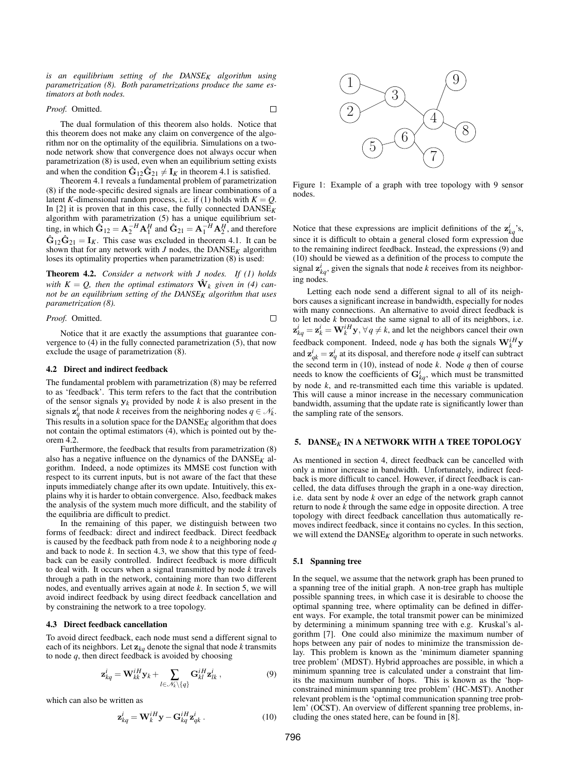*is an equilibrium setting of the DANSEK algorithm using parametrization (8). Both parametrizations produce the same estimators at both nodes.*

## *Proof.* Omitted.

 $\Box$ 

The dual formulation of this theorem also holds. Notice that this theorem does not make any claim on convergence of the algorithm nor on the optimality of the equilibria. Simulations on a twonode network show that convergence does not always occur when parametrization (8) is used, even when an equilibrium setting exists and when the condition  $\hat{G}_{12}\hat{G}_{21} \neq I_K$  in theorem 4.1 is satisfied.

Theorem 4.1 reveals a fundamental problem of parametrization (8) if the node-specific desired signals are linear combinations of a latent *K*-dimensional random process, i.e. if (1) holds with  $K = Q$ . In  $[2]$  it is proven that in this case, the fully connected  $DANSE<sub>K</sub>$ algorithm with parametrization (5) has a unique equilibrium setting, in which  $\hat{G}_{12} = A_2^{-H} A_1^H$  and  $\hat{G}_{21} = A_1^{-H} A_2^H$ , and therefore  $\hat{G}_{12}\hat{G}_{21} = I_K$ . This case was excluded in theorem 4.1. It can be shown that for any network with  $J$  nodes, the  $DANSE_K$  algorithm loses its optimality properties when parametrization (8) is used:

Theorem 4.2. *Consider a network with J nodes. If (1) holds* with  $K = Q$ , then the optimal estimators  $\hat{W}_k$  given in (4) can*not be an equilibrium setting of the DANSEK algorithm that uses parametrization (8).*

*Proof.* Omitted.

Notice that it are exactly the assumptions that guarantee convergence to (4) in the fully connected parametrization (5), that now exclude the usage of parametrization (8).

#### 4.2 Direct and indirect feedback

The fundamental problem with parametrization (8) may be referred to as 'feedback'. This term refers to the fact that the contribution of the sensor signals  $y_k$  provided by node  $k$  is also present in the signals  $z_q^i$  that node *k* receives from the neighboring nodes  $q \in \mathcal{N}_k$ . This results in a solution space for the  $DANSE_K$  algorithm that does not contain the optimal estimators (4), which is pointed out by theorem 4.2.

Furthermore, the feedback that results from parametrization (8) also has a negative influence on the dynamics of the DANSE*K* algorithm. Indeed, a node optimizes its MMSE cost function with respect to its current inputs, but is not aware of the fact that these inputs immediately change after its own update. Intuitively, this explains why it is harder to obtain convergence. Also, feedback makes the analysis of the system much more difficult, and the stability of the equilibria are difficult to predict.

In the remaining of this paper, we distinguish between two forms of feedback: direct and indirect feedback. Direct feedback is caused by the feedback path from node *k* to a neighboring node *q* and back to node *k*. In section 4.3, we show that this type of feedback can be easily controlled. Indirect feedback is more difficult to deal with. It occurs when a signal transmitted by node *k* travels through a path in the network, containing more than two different nodes, and eventually arrives again at node *k*. In section 5, we will avoid indirect feedback by using direct feedback cancellation and by constraining the network to a tree topology.

## 4.3 Direct feedback cancellation

To avoid direct feedback, each node must send a different signal to each of its neighbors. Let  $z_{kq}$  denote the signal that node *k* transmits to node *q*, then direct feedback is avoided by choosing

$$
\mathbf{z}_{kq}^{i} = \mathbf{W}_{kk}^{iH} \mathbf{y}_{k} + \sum_{l \in \mathcal{N}_{k} \setminus \{q\}} \mathbf{G}_{kl}^{iH} \mathbf{z}_{lk}^{i}, \qquad (9)
$$

which can also be written as

$$
\mathbf{z}_{kq}^{i} = \mathbf{W}_{k}^{iH} \mathbf{y} - \mathbf{G}_{kq}^{iH} \mathbf{z}_{qk}^{i} . \qquad (10)
$$



Figure 1: Example of a graph with tree topology with 9 sensor nodes.

Notice that these expressions are implicit definitions of the  $z_{kq}^i$ 's, since it is difficult to obtain a general closed form expression due to the remaining indirect feedback. Instead, the expressions (9) and (10) should be viewed as a definition of the process to compute the signal  $z_{kq}^i$ , given the signals that node *k* receives from its neighboring nodes.

Letting each node send a different signal to all of its neighbors causes a significant increase in bandwidth, especially for nodes with many connections. An alternative to avoid direct feedback is to let node *k* broadcast the same signal to all of its neighbors, i.e.  $z_{kq}^i = z_k^i = \mathbf{W}_k^{iH} \mathbf{y}, \forall q \neq k$ , and let the neighbors cancel their own feedback component. Indeed, node *q* has both the signals  $\mathbf{W}_k^{iH} \mathbf{y}$ and  $\mathbf{z}_{qk}^i = \mathbf{z}_q^i$  at its disposal, and therefore node *q* itself can subtract the second term in (10), instead of node  $k$ . Node  $q$  then of course needs to know the coefficients of  $G_{kq}^{i}$ , which must be transmitted by node *k*, and re-transmitted each time this variable is updated. This will cause a minor increase in the necessary communication bandwidth, assuming that the update rate is significantly lower than the sampling rate of the sensors.

## 5. DANSE*K* IN A NETWORK WITH A TREE TOPOLOGY

As mentioned in section 4, direct feedback can be cancelled with only a minor increase in bandwidth. Unfortunately, indirect feedback is more difficult to cancel. However, if direct feedback is cancelled, the data diffuses through the graph in a one-way direction, i.e. data sent by node *k* over an edge of the network graph cannot return to node *k* through the same edge in opposite direction. A tree topology with direct feedback cancellation thus automatically removes indirect feedback, since it contains no cycles. In this section, we will extend the  $DANSE_K$  algorithm to operate in such networks.

#### 5.1 Spanning tree

convergence of the algo-<br>
and Mindux on a two-<br>
not allows once when<br>
not allows that is satisfied.<br>
Hen in satisfied in the state of the state of the state of the state of the content of the content of the content<br>
linea In the sequel, we assume that the network graph has been pruned to a spanning tree of the initial graph. A non-tree graph has multiple possible spanning trees, in which case it is desirable to choose the optimal spanning tree, where optimality can be defined in different ways. For example, the total transmit power can be minimized by determining a minimum spanning tree with e.g. Kruskal's algorithm [7]. One could also minimize the maximum number of hops between any pair of nodes to minimize the transmission delay. This problem is known as the 'minimum diameter spanning tree problem' (MDST). Hybrid approaches are possible, in which a minimum spanning tree is calculated under a constraint that limits the maximum number of hops. This is known as the 'hopconstrained minimum spanning tree problem' (HC-MST). Another relevant problem is the 'optimal communication spanning tree problem' (OCST). An overview of different spanning tree problems, including the ones stated here, can be found in [8].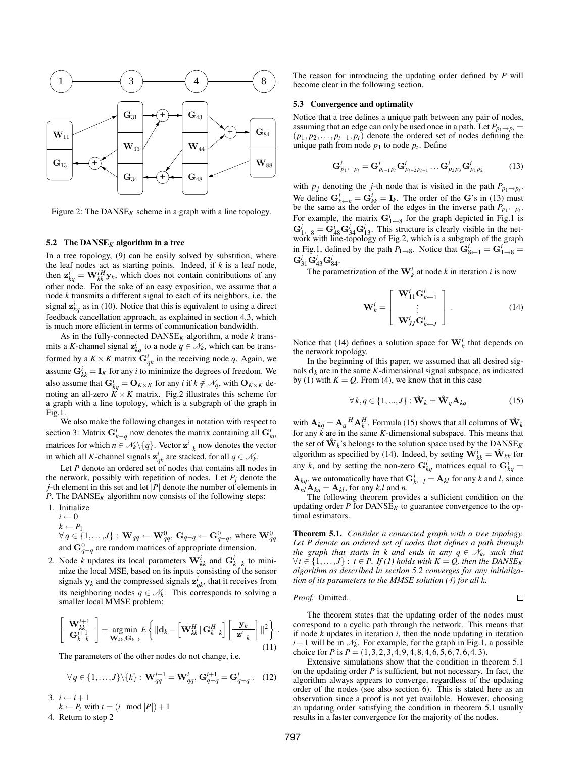

Figure 2: The  $DANSE_K$  scheme in a graph with a line topology.

## 5.2 The  $\text{DANSE}_K$  algorithm in a tree

In a tree topology, (9) can be easily solved by substition, where the leaf nodes act as starting points. Indeed, if *k* is a leaf node, then  $\mathbf{z}^i_{kq} = \mathbf{W}^{iH}_{kk} \mathbf{y}_k$ , which does not contain contributions of any other node. For the sake of an easy exposition, we assume that a node *k* transmits a different signal to each of its neighbors, i.e. the signal  $z_{kq}$ <sup>*i*</sup> as in (10). Notice that this is equivalent to using a direct feedback cancellation approach, as explained in section 4.3, which is much more efficient in terms of communication bandwidth.

As in the fully-connected  $DANSE_K$  algorithm, a node  $k$  transmits a *K*-channel signal  $z_{kq}^i$  to a node  $q \in \mathcal{N}_k$ , which can be transformed by a  $K \times K$  matrix  $\mathbf{G}_{qk}^{i}$  in the receiving node q. Again, we assume  $G_{kk}^i = I_K$  for any *i* to minimize the degrees of freedom. We also assume that  $G_{kq}^i = O_{K \times K}$  for any *i* if  $k \notin \mathcal{N}_q$ , with  $O_{K \times K}$  denoting an all-zero  $K \times K$  matrix. Fig.2 illustrates this scheme for a graph with a line topology, which is a subgraph of the graph in Fig.1.

We also make the following changes in notation with respect to section 3: Matrix  $G_{k-q}^i$  now denotes the matrix containing all  $G_{kn}^i$ matrices for which  $n \in \mathcal{N}_k \setminus \{q\}$ . Vector  $\mathbf{z}_{-k}^i$  now denotes the vector in which all *K*-channel signals  $\mathbf{z}_{qk}^i$  are stacked, for all  $q \in \mathcal{N}_k$ .

Let *P* denote an ordered set of nodes that contains all nodes in the network, possibly with repetition of nodes. Let  $P_i$  denote the *j*-th element in this set and let  $|P|$  denote the number of elements in *P*. The DANSE*K* algorithm now consists of the following steps:

- 1. Initialize  $i \leftarrow 0$  $k \leftarrow P_1$  $\forall q \in \{1,\ldots,J\}: \, \mathbf{W}_{qq} \leftarrow \mathbf{W}_{qq}^0, \, \mathbf{G}_{q-q} \leftarrow \mathbf{G}_{q-q}^0, \, \text{where} \, \, \mathbf{W}_{qq}^0$ and  $\mathbf{G}_{q-q}^{0}$  are random matrices of appropriate dimension.
- 2. Node *k* updates its local parameters  $\mathbf{W}_{kk}^{i}$  and  $\mathbf{G}_{k-k}^{i}$  to minimize the local MSE, based on its inputs consisting of the sensor signals  $y_k$  and the compressed signals  $z^i_{qk}$ , that it receives from its neighboring nodes  $q \in \mathcal{N}_k$ . This corresponds to solving a smaller local MMSE problem:

$$
\left[\begin{array}{c}\mathbf{W}_{kk}^{i+1} \\ \hline \mathbf{G}_{k-k}^{i+1}\end{array}\right] = \underset{\mathbf{W}_{kk},\mathbf{G}_{k-k}}{\arg\min} E\left\{ \|\mathbf{d}_k - \left[\mathbf{W}_{kk}^H \,|\, \mathbf{G}_{k-k}^H\right] \left[\begin{array}{c}\mathbf{y}_k \\ \hline \mathbf{z}_{-k}^i\end{array}\right]\|^{2} \right\}.
$$
\n(11)

The parameters of the other nodes do not change, i.e.

$$
\forall q \in \{1,\ldots,J\} \backslash \{k\} : \mathbf{W}_{qq}^{i+1} = \mathbf{W}_{qq}^{i}, \mathbf{G}_{q-q}^{i+1} = \mathbf{G}_{q-q}^{i} . \quad (12)
$$

3. 
$$
i \leftarrow i+1
$$
  
\n $k \leftarrow B$  with  $t = (i \mod |B|)$ 

 $k \leftarrow P_t$  with  $t = (i \mod |P|) + 1$ 4. Return to step 2

The reason for introducing the updating order defined by *P* will become clear in the following section.

#### 5.3 Convergence and optimality

Notice that a tree defines a unique path between any pair of nodes, assuming that an edge can only be used once in a path. Let  $P_{p_1 \to p_t}$  =  $(p_1, p_2, \ldots, p_{t-1}, p_t)$  denote the ordered set of nodes defining the unique path from node  $p_1$  to node  $p_t$ . Define

$$
\mathbf{G}_{p_1 \leftarrow p_t}^i = \mathbf{G}_{p_{t-1}p_t}^i \mathbf{G}_{p_{t-2}p_{t-1}}^i \dots \mathbf{G}_{p_2p_3}^i \mathbf{G}_{p_1p_2}^i \tag{13}
$$

with  $p_j$  denoting the *j*-th node that is visited in the path  $P_{p_1 \to p_i}$ . We define  $G_{k \leftarrow k}^i = G_{kk}^i = I_k$ . The order of the G's in (13) must be the same as the order of the edges in the inverse path  $P_{p_1 \leftarrow p_t}$ . For example, the matrix  $G_{1 \leftarrow 8}^i$  for the graph depicted in Fig.1 is  $G_{1\leftarrow 8}^i = G_{48}^i G_{34}^i G_{13}^i$ . This structure is clearly visible in the net-work with line-topology of Fig.2, which is a subgraph of the graph in Fig.1, defined by the path  $P_{1\rightarrow 8}$ . Notice that  $G_{8\leftarrow 1}^i = G_{1\rightarrow 8}^i =$  $\mathbf{G}^i_{31}\mathbf{G}^i_{43}\mathbf{G}^i_{84}.$ 

The parametrization of the  $\mathbf{W}_k^i$  at node *k* in iteration *i* is now

$$
\mathbf{W}_{k}^{i} = \begin{bmatrix} \mathbf{W}_{11}^{i} \mathbf{G}_{k-1}^{i} \\ \vdots \\ \mathbf{W}_{JJ}^{i} \mathbf{G}_{k-J}^{i} \end{bmatrix} .
$$
 (14)

Notice that (14) defines a solution space for  $W_k^i$  that depends on the network topology.

In the beginning of this paper, we assumed that all desired signals  $\mathbf{d}_k$  are in the same *K*-dimensional signal subspace, as indicated by (1) with  $K = Q$ . From (4), we know that in this case

$$
\forall k, q \in \{1, ..., J\} : \mathbf{\hat{W}}_k = \mathbf{\hat{W}}_q \mathbf{A}_{kq}
$$
 (15)

with  $\mathbf{A}_{kq} = \mathbf{A}_q^{-H} \mathbf{A}_k^H$ . Formula (15) shows that all columns of  $\hat{\mathbf{W}}_k$  for any *k* are in the same *K*-dimensional subspace. This means that the set of  $\hat{\mathbf{W}}_k$ 's belongs to the solution space used by the  $\mathrm{DANSE}_{K}$ algorithm as specified by (14). Indeed, by setting  $\mathbf{W}_{kk}^i = \mathbf{\hat{W}}_{kk}$  for any *k*, and by setting the non-zero  $G_{kq}^i$  matrices equal to  $G_{kq}^i$  =  $\mathbf{A}_{kq}$ , we automatically have that  $\mathbf{G}_{k\leftarrow l}^{i} = \mathbf{A}_{kl}$  for any *k* and *l*, since  $\mathbf{A}_{nl}\mathbf{A}_{kn} = \mathbf{A}_{kl}$ , for any *k*,*l* and *n*.

The following theorem provides a sufficient condition on the updating order  $P$  for  $DANSE_K$  to guarantee convergence to the optimal estimators.

Theorem 5.1. *Consider a connected graph with a tree topology. Let P denote an ordered set of nodes that defines a path through the graph that starts in k and ends in any*  $q \in \mathcal{N}_k$ *, such that*  $∀t ∈ {1, ..., J}$ :  $t ∈ P$ . *If* (*1*) holds with  $K = Q$ , then the DANSE<sub>K</sub> *algorithm as described in section 5.2 converges for any initialization of its parameters to the MMSE solution (4) for all k.*

The theorem states that the updating order of the nodes must correspond to a cyclic path through the network. This means that if node *k* updates in iteration *i*, then the node updating in iteration  $i+1$  will be in  $\mathcal{N}_k$ . For example, for the graph in Fig.1, a possible choice for *P* is  $P = (1,3,2,3,4,9,4,8,4,6,5,6,7,6,4,3)$ .

 $\Box$ 

Extensive simulations show that the condition in theorem 5.1 on the updating order *P* is sufficient, but not necessary. In fact, the algorithm always appears to converge, regardless of the updating order of the nodes (see also section 6). This is stated here as an observation since a proof is not yet available. However, choosing an updating order satisfying the condition in theorem 5.1 usually results in a faster convergence for the majority of the nodes.

 $Pr$